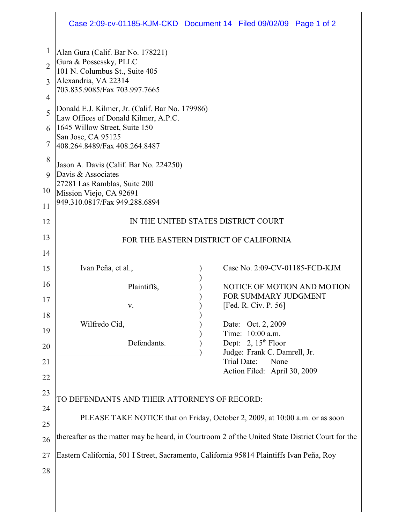## Case 2:09-cv-01185-KJM-CKD Document 14 Filed 09/02/09 Page 1 of 2

| 1              | Alan Gura (Calif. Bar No. 178221)                                                                |  |                                           |
|----------------|--------------------------------------------------------------------------------------------------|--|-------------------------------------------|
| $\overline{2}$ | Gura & Possessky, PLLC                                                                           |  |                                           |
| 3              | 101 N. Columbus St., Suite 405<br>Alexandria, VA 22314                                           |  |                                           |
|                | 703.835.9085/Fax 703.997.7665                                                                    |  |                                           |
| $\overline{4}$ | Donald E.J. Kilmer, Jr. (Calif. Bar No. 179986)                                                  |  |                                           |
| 5              | Law Offices of Donald Kilmer, A.P.C.                                                             |  |                                           |
| 6              | 1645 Willow Street, Suite 150                                                                    |  |                                           |
| 7              | San Jose, CA 95125<br>408.264.8489/Fax 408.264.8487                                              |  |                                           |
| 8              |                                                                                                  |  |                                           |
| 9              | Jason A. Davis (Calif. Bar No. 224250)<br>Davis & Associates                                     |  |                                           |
|                | 27281 Las Ramblas, Suite 200                                                                     |  |                                           |
| 10             | Mission Viejo, CA 92691                                                                          |  |                                           |
| 11             | 949.310.0817/Fax 949.288.6894                                                                    |  |                                           |
| 12             | IN THE UNITED STATES DISTRICT COURT                                                              |  |                                           |
| 13             | FOR THE EASTERN DISTRICT OF CALIFORNIA                                                           |  |                                           |
| 14             |                                                                                                  |  |                                           |
| 15             | Ivan Peña, et al.,                                                                               |  | Case No. 2:09-CV-01185-FCD-KJM            |
| 16             | Plaintiffs,                                                                                      |  | NOTICE OF MOTION AND MOTION               |
| 17             |                                                                                                  |  | FOR SUMMARY JUDGMENT                      |
| 18             | V.                                                                                               |  | [Fed. R. Civ. P. 56]                      |
| 19             | Wilfredo Cid,                                                                                    |  | Oct. 2, 2009<br>Date:                     |
|                | Defendants.                                                                                      |  | Time: 10:00 a.m.<br>Dept: 2, $15th$ Floor |
| 20             |                                                                                                  |  | Judge: Frank C. Damrell, Jr.              |
| 21             |                                                                                                  |  | Trial Date:<br>None                       |
| 22             |                                                                                                  |  | Action Filed: April 30, 2009              |
| 23             |                                                                                                  |  |                                           |
| 24             | TO DEFENDANTS AND THEIR ATTORNEYS OF RECORD:                                                     |  |                                           |
| 25             | PLEASE TAKE NOTICE that on Friday, October 2, 2009, at 10:00 a.m. or as soon                     |  |                                           |
| 26             | thereafter as the matter may be heard, in Courtroom 2 of the United State District Court for the |  |                                           |
| 27             | Eastern California, 501 I Street, Sacramento, California 95814 Plaintiffs Ivan Peña, Roy         |  |                                           |
| 28             |                                                                                                  |  |                                           |
|                |                                                                                                  |  |                                           |